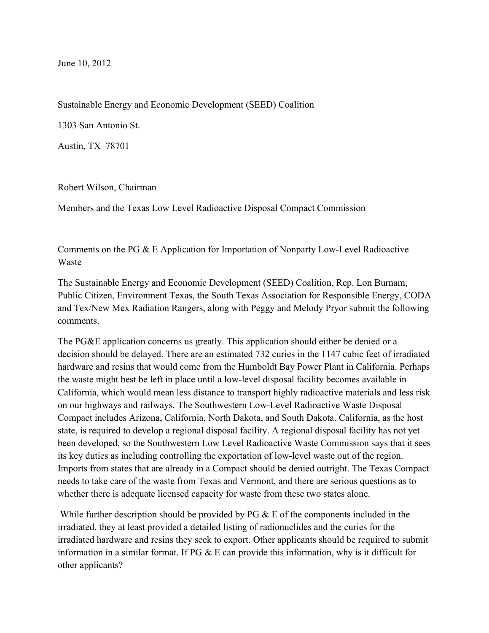June 10, 2012

Sustainable Energy and Economic Development (SEED) Coalition

1303 San Antonio St.

Austin, TX 78701

Robert Wilson, Chairman

Members and the Texas Low Level Radioactive Disposal Compact Commission

Comments on the PG & E Application for Importation of Nonparty Low-Level Radioactive Waste

The Sustainable Energy and Economic Development (SEED) Coalition, Rep. Lon Burnam, Public Citizen, Environment Texas, the South Texas Association for Responsible Energy, CODA and Tex/New Mex Radiation Rangers, along with Peggy and Melody Pryor submit the following comments.

The PG&E application concerns us greatly. This application should either be denied or a decision should be delayed. There are an estimated 732 curies in the 1147 cubic feet of irradiated hardware and resins that would come from the Humboldt Bay Power Plant in California. Perhaps the waste might best be left in place until a low-level disposal facility becomes available in California, which would mean less distance to transport highly radioactive materials and less risk on our highways and railways. The Southwestern Low-Level Radioactive Waste Disposal Compact includes Arizona, California, North Dakota, and South Dakota. California, as the host state, is required to develop a regional disposal facility. A regional disposal facility has not yet been developed, so the Southwestern Low Level Radioactive Waste Commission says that it sees its key duties as including controlling the exportation of low-level waste out of the region. Imports from states that are already in a Compact should be denied outright. The Texas Compact needs to take care of the waste from Texas and Vermont, and there are serious questions as to whether there is adequate licensed capacity for waste from these two states alone.

While further description should be provided by PG & E of the components included in the irradiated, they at least provided a detailed listing of radionuclides and the curies for the irradiated hardware and resins they seek to export. Other applicants should be required to submit information in a similar format. If  $PG & E$  can provide this information, why is it difficult for other applicants?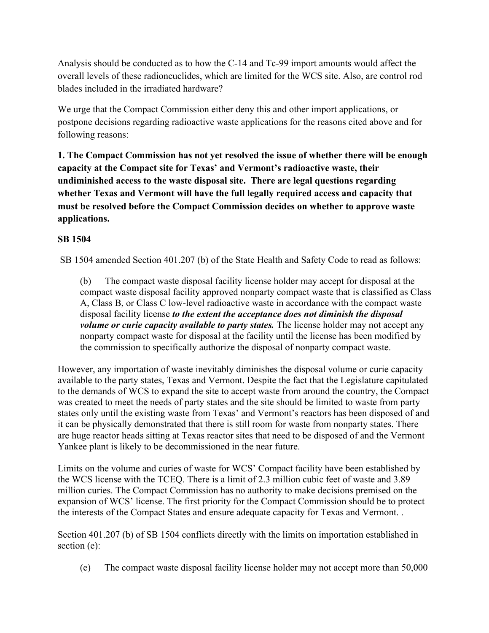Analysis should be conducted as to how the C-14 and Tc-99 import amounts would affect the overall levels of these radioncuclides, which are limited for the WCS site. Also, are control rod blades included in the irradiated hardware?

We urge that the Compact Commission either deny this and other import applications, or postpone decisions regarding radioactive waste applications for the reasons cited above and for following reasons:

**1. The Compact Commission has not yet resolved the issue of whether there will be enough capacity at the Compact site for Texas' and Vermont's radioactive waste, their undiminished access to the waste disposal site. There are legal questions regarding whether Texas and Vermont will have the full legally required access and capacity that must be resolved before the Compact Commission decides on whether to approve waste applications.**

# **SB 1504**

SB 1504 amended Section 401.207 (b) of the State Health and Safety Code to read as follows:

(b) The compact waste disposal facility license holder may accept for disposal at the compact waste disposal facility approved nonparty compact waste that is classified as Class A, Class B, or Class C low-level radioactive waste in accordance with the compact waste disposal facility license *to the extent the acceptance does not diminish the disposal volume or curie capacity available to party states.* The license holder may not accept any nonparty compact waste for disposal at the facility until the license has been modified by the commission to specifically authorize the disposal of nonparty compact waste.

However, any importation of waste inevitably diminishes the disposal volume or curie capacity available to the party states, Texas and Vermont. Despite the fact that the Legislature capitulated to the demands of WCS to expand the site to accept waste from around the country, the Compact was created to meet the needs of party states and the site should be limited to waste from party states only until the existing waste from Texas' and Vermont's reactors has been disposed of and it can be physically demonstrated that there is still room for waste from nonparty states. There are huge reactor heads sitting at Texas reactor sites that need to be disposed of and the Vermont Yankee plant is likely to be decommissioned in the near future.

Limits on the volume and curies of waste for WCS' Compact facility have been established by the WCS license with the TCEQ. There is a limit of 2.3 million cubic feet of waste and 3.89 million curies. The Compact Commission has no authority to make decisions premised on the expansion of WCS' license. The first priority for the Compact Commission should be to protect the interests of the Compact States and ensure adequate capacity for Texas and Vermont. .

Section 401.207 (b) of SB 1504 conflicts directly with the limits on importation established in section (e):

(e) The compact waste disposal facility license holder may not accept more than  $50,000$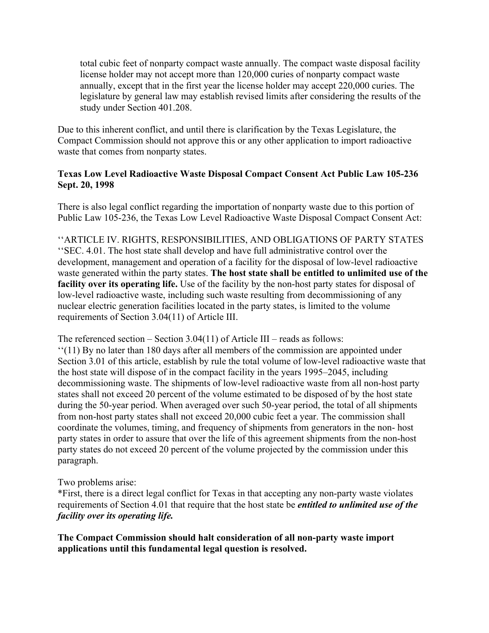total cubic feet of nonparty compact waste annually. The compact waste disposal facility license holder may not accept more than 120,000 curies of nonparty compact waste annually, except that in the first year the license holder may accept 220,000 curies. The legislature by general law may establish revised limits after considering the results of the study under Section 401.208.

Due to this inherent conflict, and until there is clarification by the Texas Legislature, the Compact Commission should not approve this or any other application to import radioactive waste that comes from nonparty states.

## **Texas Low Level Radioactive Waste Disposal Compact Consent Act Public Law 105-236 Sept. 20, 1998**

There is also legal conflict regarding the importation of nonparty waste due to this portion of Public Law 105-236, the Texas Low Level Radioactive Waste Disposal Compact Consent Act:

''ARTICLE IV. RIGHTS, RESPONSIBILITIES, AND OBLIGATIONS OF PARTY STATES ''SEC. 4.01. The host state shall develop and have full administrative control over the development, management and operation of a facility for the disposal of low-level radioactive waste generated within the party states. **The host state shall be entitled to unlimited use of the facility over its operating life.** Use of the facility by the non-host party states for disposal of low-level radioactive waste, including such waste resulting from decommissioning of any nuclear electric generation facilities located in the party states, is limited to the volume requirements of Section 3.04(11) of Article III.

The referenced section – Section 3.04(11) of Article III – reads as follows:

''(11) By no later than 180 days after all members of the commission are appointed under Section 3.01 of this article, establish by rule the total volume of low-level radioactive waste that the host state will dispose of in the compact facility in the years 1995–2045, including decommissioning waste. The shipments of low-level radioactive waste from all non-host party states shall not exceed 20 percent of the volume estimated to be disposed of by the host state during the 50-year period. When averaged over such 50-year period, the total of all shipments from non-host party states shall not exceed 20,000 cubic feet a year. The commission shall coordinate the volumes, timing, and frequency of shipments from generators in the non- host party states in order to assure that over the life of this agreement shipments from the non-host party states do not exceed 20 percent of the volume projected by the commission under this paragraph.

Two problems arise:

\*First, there is a direct legal conflict for Texas in that accepting any non-party waste violates requirements of Section 4.01 that require that the host state be *entitled to unlimited use of the facility over its operating life.*

**The Compact Commission should halt consideration of all non-party waste import applications until this fundamental legal question is resolved.**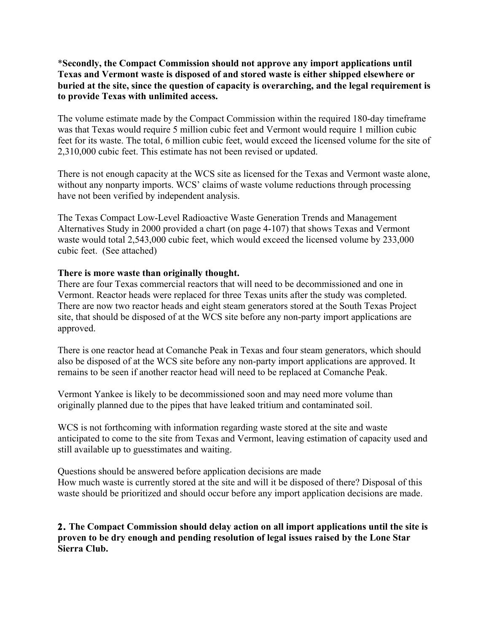### \***Secondly, the Compact Commission should not approve any import applications until Texas and Vermont waste is disposed of and stored waste is either shipped elsewhere or buried at the site, since the question of capacity is overarching, and the legal requirement is to provide Texas with unlimited access.**

The volume estimate made by the Compact Commission within the required 180-day timeframe was that Texas would require 5 million cubic feet and Vermont would require 1 million cubic feet for its waste. The total, 6 million cubic feet, would exceed the licensed volume for the site of 2,310,000 cubic feet. This estimate has not been revised or updated.

There is not enough capacity at the WCS site as licensed for the Texas and Vermont waste alone, without any nonparty imports. WCS' claims of waste volume reductions through processing have not been verified by independent analysis.

The Texas Compact Low-Level Radioactive Waste Generation Trends and Management Alternatives Study in 2000 provided a chart (on page 4-107) that shows Texas and Vermont waste would total 2,543,000 cubic feet, which would exceed the licensed volume by 233,000 cubic feet. (See attached)

#### **There is more waste than originally thought.**

There are four Texas commercial reactors that will need to be decommissioned and one in Vermont. Reactor heads were replaced for three Texas units after the study was completed. There are now two reactor heads and eight steam generators stored at the South Texas Project site, that should be disposed of at the WCS site before any non-party import applications are approved.

There is one reactor head at Comanche Peak in Texas and four steam generators, which should also be disposed of at the WCS site before any non-party import applications are approved. It remains to be seen if another reactor head will need to be replaced at Comanche Peak.

Vermont Yankee is likely to be decommissioned soon and may need more volume than originally planned due to the pipes that have leaked tritium and contaminated soil.

WCS is not forthcoming with information regarding waste stored at the site and waste anticipated to come to the site from Texas and Vermont, leaving estimation of capacity used and still available up to guesstimates and waiting.

Questions should be answered before application decisions are made How much waste is currently stored at the site and will it be disposed of there? Disposal of this waste should be prioritized and should occur before any import application decisions are made.

**2. The Compact Commission should delay action on all import applications until the site is proven to be dry enough and pending resolution of legal issues raised by the Lone Star Sierra Club.**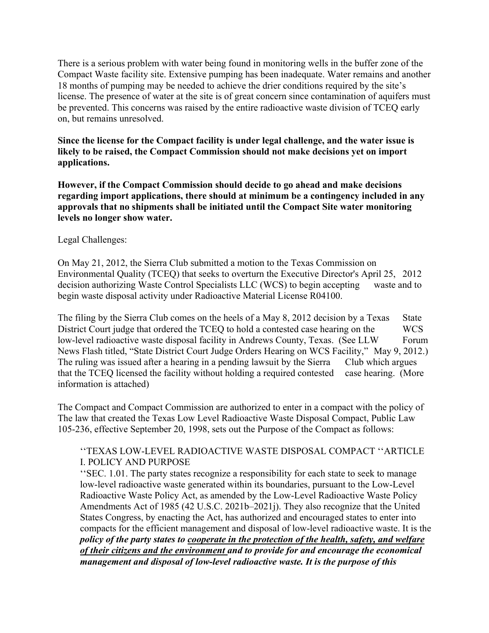There is a serious problem with water being found in monitoring wells in the buffer zone of the Compact Waste facility site. Extensive pumping has been inadequate. Water remains and another 18 months of pumping may be needed to achieve the drier conditions required by the site's license. The presence of water at the site is of great concern since contamination of aquifers must be prevented. This concerns was raised by the entire radioactive waste division of TCEQ early on, but remains unresolved.

**Since the license for the Compact facility is under legal challenge, and the water issue is likely to be raised, the Compact Commission should not make decisions yet on import applications.** 

**However, if the Compact Commission should decide to go ahead and make decisions regarding import applications, there should at minimum be a contingency included in any approvals that no shipments shall be initiated until the Compact Site water monitoring levels no longer show water.** 

#### Legal Challenges:

On May 21, 2012, the Sierra Club submitted a motion to the Texas Commission on Environmental Quality (TCEQ) that seeks to overturn the Executive Director's April 25, 2012 decision authorizing Waste Control Specialists LLC (WCS) to begin accepting waste and to begin waste disposal activity under Radioactive Material License R04100.

The filing by the Sierra Club comes on the heels of a May 8, 2012 decision by a Texas State District Court judge that ordered the TCEQ to hold a contested case hearing on the WCS low-level radioactive waste disposal facility in Andrews County, Texas. (See LLW Forum News Flash titled, "State District Court Judge Orders Hearing on WCS Facility," May 9, 2012.) The ruling was issued after a hearing in a pending lawsuit by the Sierra Club which argues that the TCEQ licensed the facility without holding a required contested case hearing. (More information is attached)

The Compact and Compact Commission are authorized to enter in a compact with the policy of The law that created the Texas Low Level Radioactive Waste Disposal Compact, Public Law 105-236, effective September 20, 1998, sets out the Purpose of the Compact as follows:

### ''TEXAS LOW-LEVEL RADIOACTIVE WASTE DISPOSAL COMPACT ''ARTICLE I. POLICY AND PURPOSE

''SEC. 1.01. The party states recognize a responsibility for each state to seek to manage low-level radioactive waste generated within its boundaries, pursuant to the Low-Level Radioactive Waste Policy Act, as amended by the Low-Level Radioactive Waste Policy Amendments Act of 1985 (42 U.S.C. 2021b–2021j). They also recognize that the United States Congress, by enacting the Act, has authorized and encouraged states to enter into compacts for the efficient management and disposal of low-level radioactive waste. It is the *policy of the party states to cooperate in the protection of the health, safety, and welfare of their citizens and the environment and to provide for and encourage the economical management and disposal of low-level radioactive waste. It is the purpose of this*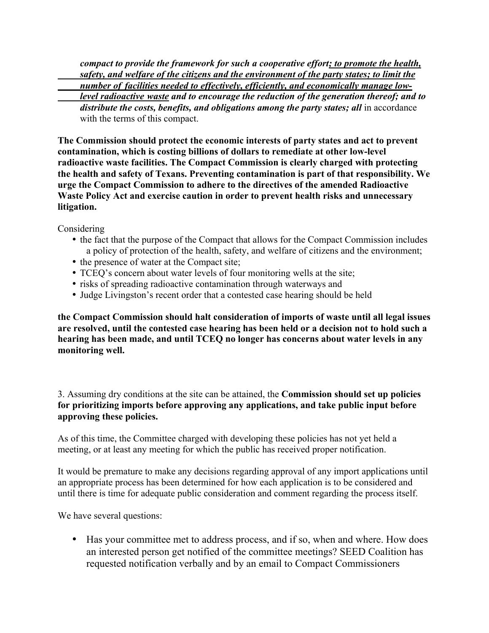*compact to provide the framework for such a cooperative effort; to promote the health, safety, and welfare of the citizens and the environment of the party states; to limit the number of facilities needed to effectively, efficiently, and economically manage lowlevel radioactive waste and to encourage the reduction of the generation thereof; and to*  distribute the costs, benefits, and obligations among the party states; all in accordance with the terms of this compact.

**The Commission should protect the economic interests of party states and act to prevent contamination, which is costing billions of dollars to remediate at other low-level radioactive waste facilities. The Compact Commission is clearly charged with protecting the health and safety of Texans. Preventing contamination is part of that responsibility. We urge the Compact Commission to adhere to the directives of the amended Radioactive Waste Policy Act and exercise caution in order to prevent health risks and unnecessary litigation.** 

**Considering** 

- the fact that the purpose of the Compact that allows for the Compact Commission includes a policy of protection of the health, safety, and welfare of citizens and the environment;
- the presence of water at the Compact site;
- TCEQ's concern about water levels of four monitoring wells at the site;
- risks of spreading radioactive contamination through waterways and
- Judge Livingston's recent order that a contested case hearing should be held

**the Compact Commission should halt consideration of imports of waste until all legal issues are resolved, until the contested case hearing has been held or a decision not to hold such a hearing has been made, and until TCEQ no longer has concerns about water levels in any monitoring well.** 

3. Assuming dry conditions at the site can be attained, the **Commission should set up policies for prioritizing imports before approving any applications, and take public input before approving these policies.**

As of this time, the Committee charged with developing these policies has not yet held a meeting, or at least any meeting for which the public has received proper notification.

It would be premature to make any decisions regarding approval of any import applications until an appropriate process has been determined for how each application is to be considered and until there is time for adequate public consideration and comment regarding the process itself.

We have several questions:

• Has your committee met to address process, and if so, when and where. How does an interested person get notified of the committee meetings? SEED Coalition has requested notification verbally and by an email to Compact Commissioners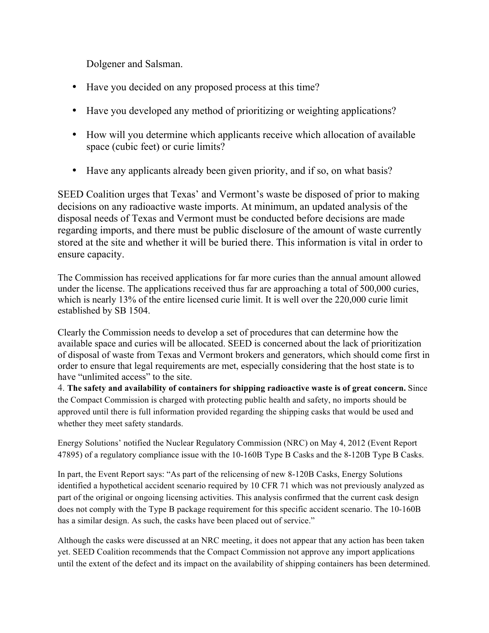Dolgener and Salsman.

- Have you decided on any proposed process at this time?
- Have you developed any method of prioritizing or weighting applications?
- How will you determine which applicants receive which allocation of available space (cubic feet) or curie limits?
- Have any applicants already been given priority, and if so, on what basis?

SEED Coalition urges that Texas' and Vermont's waste be disposed of prior to making decisions on any radioactive waste imports. At minimum, an updated analysis of the disposal needs of Texas and Vermont must be conducted before decisions are made regarding imports, and there must be public disclosure of the amount of waste currently stored at the site and whether it will be buried there. This information is vital in order to ensure capacity.

The Commission has received applications for far more curies than the annual amount allowed under the license. The applications received thus far are approaching a total of 500,000 curies, which is nearly 13% of the entire licensed curie limit. It is well over the 220,000 curie limit established by SB 1504.

Clearly the Commission needs to develop a set of procedures that can determine how the available space and curies will be allocated. SEED is concerned about the lack of prioritization of disposal of waste from Texas and Vermont brokers and generators, which should come first in order to ensure that legal requirements are met, especially considering that the host state is to have "unlimited access" to the site.

4. **The safety and availability of containers for shipping radioactive waste is of great concern.** Since the Compact Commission is charged with protecting public health and safety, no imports should be approved until there is full information provided regarding the shipping casks that would be used and whether they meet safety standards.

Energy Solutions' notified the Nuclear Regulatory Commission (NRC) on May 4, 2012 (Event Report 47895) of a regulatory compliance issue with the 10-160B Type B Casks and the 8-120B Type B Casks.

In part, the Event Report says: "As part of the relicensing of new 8-120B Casks, Energy Solutions identified a hypothetical accident scenario required by 10 CFR 71 which was not previously analyzed as part of the original or ongoing licensing activities. This analysis confirmed that the current cask design does not comply with the Type B package requirement for this specific accident scenario. The 10-160B has a similar design. As such, the casks have been placed out of service."

Although the casks were discussed at an NRC meeting, it does not appear that any action has been taken yet. SEED Coalition recommends that the Compact Commission not approve any import applications until the extent of the defect and its impact on the availability of shipping containers has been determined.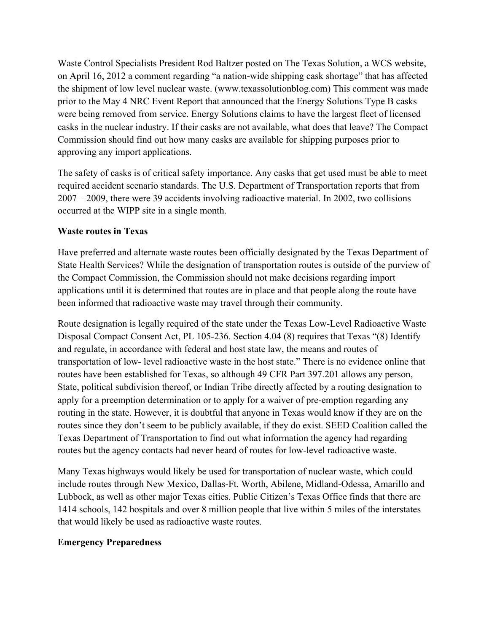Waste Control Specialists President Rod Baltzer posted on The Texas Solution, a WCS website, on April 16, 2012 a comment regarding "a nation-wide shipping cask shortage" that has affected the shipment of low level nuclear waste. (www.texassolutionblog.com) This comment was made prior to the May 4 NRC Event Report that announced that the Energy Solutions Type B casks were being removed from service. Energy Solutions claims to have the largest fleet of licensed casks in the nuclear industry. If their casks are not available, what does that leave? The Compact Commission should find out how many casks are available for shipping purposes prior to approving any import applications.

The safety of casks is of critical safety importance. Any casks that get used must be able to meet required accident scenario standards. The U.S. Department of Transportation reports that from 2007 – 2009, there were 39 accidents involving radioactive material. In 2002, two collisions occurred at the WIPP site in a single month.

## **Waste routes in Texas**

Have preferred and alternate waste routes been officially designated by the Texas Department of State Health Services? While the designation of transportation routes is outside of the purview of the Compact Commission, the Commission should not make decisions regarding import applications until it is determined that routes are in place and that people along the route have been informed that radioactive waste may travel through their community.

Route designation is legally required of the state under the Texas Low-Level Radioactive Waste Disposal Compact Consent Act, PL 105-236. Section 4.04 (8) requires that Texas "(8) Identify and regulate, in accordance with federal and host state law, the means and routes of transportation of low- level radioactive waste in the host state." There is no evidence online that routes have been established for Texas, so although 49 CFR Part 397.201 allows any person, State, political subdivision thereof, or Indian Tribe directly affected by a routing designation to apply for a preemption determination or to apply for a waiver of pre-emption regarding any routing in the state. However, it is doubtful that anyone in Texas would know if they are on the routes since they don't seem to be publicly available, if they do exist. SEED Coalition called the Texas Department of Transportation to find out what information the agency had regarding routes but the agency contacts had never heard of routes for low-level radioactive waste.

Many Texas highways would likely be used for transportation of nuclear waste, which could include routes through New Mexico, Dallas-Ft. Worth, Abilene, Midland-Odessa, Amarillo and Lubbock, as well as other major Texas cities. Public Citizen's Texas Office finds that there are 1414 schools, 142 hospitals and over 8 million people that live within 5 miles of the interstates that would likely be used as radioactive waste routes.

## **Emergency Preparedness**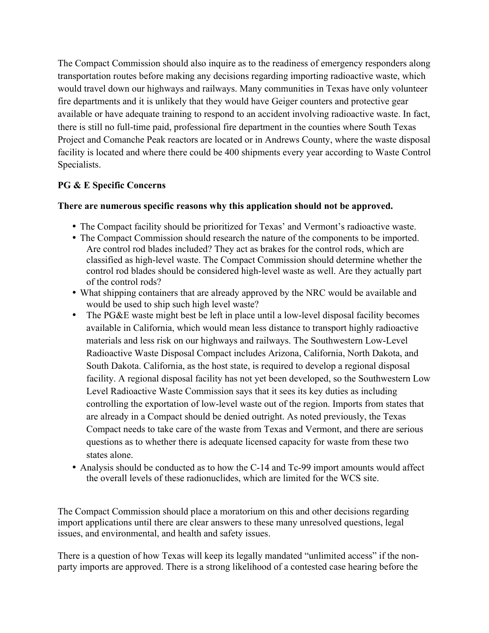The Compact Commission should also inquire as to the readiness of emergency responders along transportation routes before making any decisions regarding importing radioactive waste, which would travel down our highways and railways. Many communities in Texas have only volunteer fire departments and it is unlikely that they would have Geiger counters and protective gear available or have adequate training to respond to an accident involving radioactive waste. In fact, there is still no full-time paid, professional fire department in the counties where South Texas Project and Comanche Peak reactors are located or in Andrews County, where the waste disposal facility is located and where there could be 400 shipments every year according to Waste Control Specialists.

## **PG & E Specific Concerns**

## **There are numerous specific reasons why this application should not be approved.**

- The Compact facility should be prioritized for Texas' and Vermont's radioactive waste.
- The Compact Commission should research the nature of the components to be imported. Are control rod blades included? They act as brakes for the control rods, which are classified as high-level waste. The Compact Commission should determine whether the control rod blades should be considered high-level waste as well. Are they actually part of the control rods?
- What shipping containers that are already approved by the NRC would be available and would be used to ship such high level waste?
- The PG&E waste might best be left in place until a low-level disposal facility becomes available in California, which would mean less distance to transport highly radioactive materials and less risk on our highways and railways. The Southwestern Low-Level Radioactive Waste Disposal Compact includes Arizona, California, North Dakota, and South Dakota. California, as the host state, is required to develop a regional disposal facility. A regional disposal facility has not yet been developed, so the Southwestern Low Level Radioactive Waste Commission says that it sees its key duties as including controlling the exportation of low-level waste out of the region. Imports from states that are already in a Compact should be denied outright. As noted previously, the Texas Compact needs to take care of the waste from Texas and Vermont, and there are serious questions as to whether there is adequate licensed capacity for waste from these two states alone.
- Analysis should be conducted as to how the C-14 and Tc-99 import amounts would affect the overall levels of these radionuclides, which are limited for the WCS site.

The Compact Commission should place a moratorium on this and other decisions regarding import applications until there are clear answers to these many unresolved questions, legal issues, and environmental, and health and safety issues.

There is a question of how Texas will keep its legally mandated "unlimited access" if the nonparty imports are approved. There is a strong likelihood of a contested case hearing before the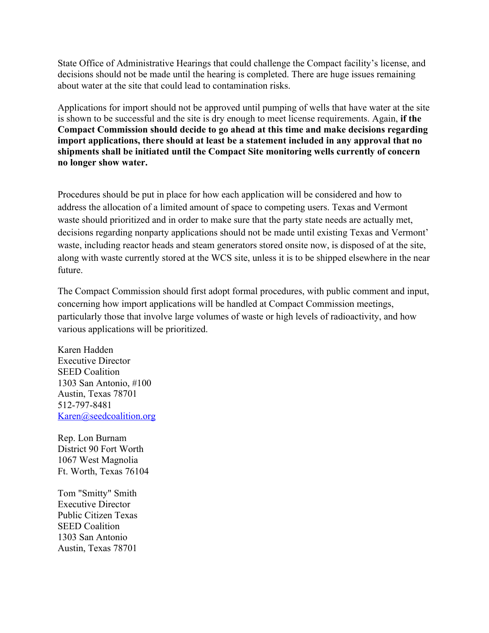State Office of Administrative Hearings that could challenge the Compact facility's license, and decisions should not be made until the hearing is completed. There are huge issues remaining about water at the site that could lead to contamination risks.

Applications for import should not be approved until pumping of wells that have water at the site is shown to be successful and the site is dry enough to meet license requirements. Again, **if the Compact Commission should decide to go ahead at this time and make decisions regarding import applications, there should at least be a statement included in any approval that no shipments shall be initiated until the Compact Site monitoring wells currently of concern no longer show water.** 

Procedures should be put in place for how each application will be considered and how to address the allocation of a limited amount of space to competing users. Texas and Vermont waste should prioritized and in order to make sure that the party state needs are actually met, decisions regarding nonparty applications should not be made until existing Texas and Vermont' waste, including reactor heads and steam generators stored onsite now, is disposed of at the site, along with waste currently stored at the WCS site, unless it is to be shipped elsewhere in the near future.

The Compact Commission should first adopt formal procedures, with public comment and input, concerning how import applications will be handled at Compact Commission meetings, particularly those that involve large volumes of waste or high levels of radioactivity, and how various applications will be prioritized.

Karen Hadden Executive Director SEED Coalition 1303 San Antonio, #100 Austin, Texas 78701 512-797-8481 Karen@seedcoalition.org

Rep. Lon Burnam District 90 Fort Worth 1067 West Magnolia Ft. Worth, Texas 76104

Tom "Smitty" Smith Executive Director Public Citizen Texas SEED Coalition 1303 San Antonio Austin, Texas 78701